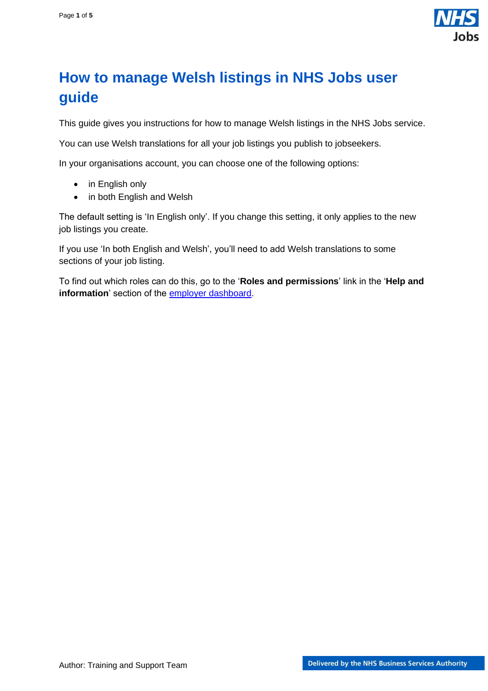

## <span id="page-0-0"></span>**How to manage Welsh listings in NHS Jobs user guide**

This guide gives you instructions for how to manage Welsh listings in the NHS Jobs service.

You can use Welsh translations for all your job listings you publish to jobseekers.

In your organisations account, you can choose one of the following options:

- in English only
- in both English and Welsh

The default setting is 'In English only'. If you change this setting, it only applies to the new job listings you create.

If you use 'In both English and Welsh', you'll need to add Welsh translations to some sections of your job listing.

To find out which roles can do this, go to the '**Roles and permissions**' link in the '**Help and information**' section of the **employer dashboard**.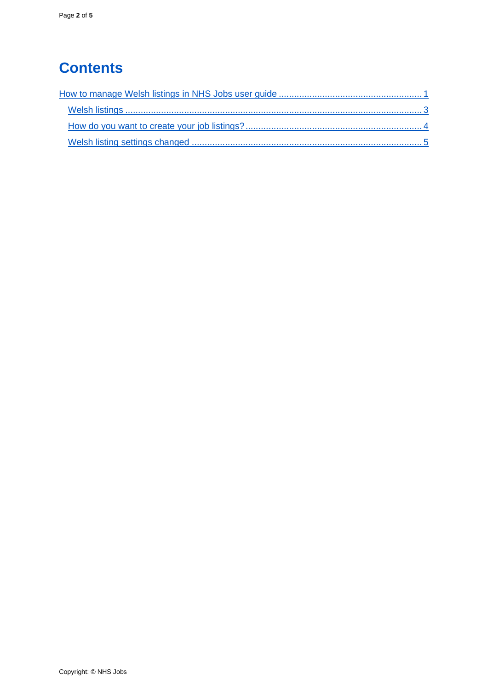# **Contents**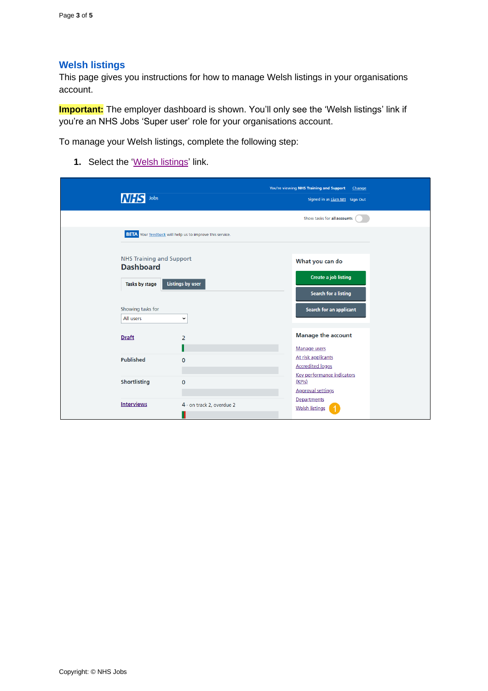#### <span id="page-2-0"></span>**Welsh listings**

This page gives you instructions for how to manage Welsh listings in your organisations account.

**Important:** The employer dashboard is shown. You'll only see the 'Welsh listings' link if you're an NHS Jobs 'Super user' role for your organisations account.

To manage your Welsh listings, complete the following step:

1. Select the ['Welsh listings'](#page-3-0) link.

| Jobs<br><i>INHS</i>                                 |                                                                 | You're viewing NHS Training and Support<br>Change<br>Signed in as Liam M1 Sign Out |  |
|-----------------------------------------------------|-----------------------------------------------------------------|------------------------------------------------------------------------------------|--|
|                                                     |                                                                 | Show tasks for all accounts                                                        |  |
|                                                     | <b>BETA</b> Your feedback will help us to improve this service. |                                                                                    |  |
| <b>NHS Training and Support</b><br><b>Dashboard</b> |                                                                 | What you can do                                                                    |  |
| Tasks by stage                                      | <b>Listings by user</b>                                         | <b>Create a job listing</b><br><b>Search for a listing</b>                         |  |
| Showing tasks for<br>All users                      | $\checkmark$                                                    | Search for an applicant                                                            |  |
| <b>Draft</b>                                        | $\overline{2}$                                                  | <b>Manage the account</b><br>Manage users                                          |  |
| <b>Published</b>                                    | $\mathbf 0$                                                     | At risk applicants<br><b>Accredited logos</b>                                      |  |
| <b>Shortlisting</b>                                 | $\mathbf 0$                                                     | Key performance indicators<br>(KPIs)<br><b>Approval settings</b>                   |  |
| <b>Interviews</b>                                   | 4 - on track 2, overdue 2                                       | Departments<br><b>Welsh listings</b>                                               |  |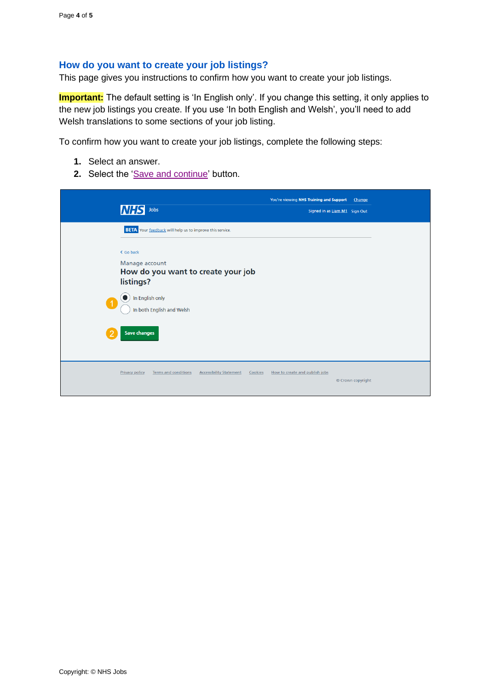#### <span id="page-3-0"></span>**How do you want to create your job listings?**

This page gives you instructions to confirm how you want to create your job listings.

**Important:** The default setting is 'In English only'. If you change this setting, it only applies to the new job listings you create. If you use 'In both English and Welsh', you'll need to add Welsh translations to some sections of your job listing.

To confirm how you want to create your job listings, complete the following steps:

- **1.** Select an answer.
- 2. Select the ['Save and continue'](#page-4-0) button.

| <b>NHS</b><br>Jobs                                                                         | You're viewing NHS Training and Support<br>Signed in as Liam M1 Sign Out | Change            |
|--------------------------------------------------------------------------------------------|--------------------------------------------------------------------------|-------------------|
| <b>BETA</b> Your feedback will help us to improve this service.                            |                                                                          |                   |
| < Go back<br>Manage account<br>How do you want to create your job<br>listings?             |                                                                          |                   |
| In English only<br>$\overline{1}$<br>In both English and Welsh                             |                                                                          |                   |
| <b>Save changes</b>                                                                        |                                                                          |                   |
| Privacy policy<br><b>Terms and conditions</b><br><b>Accessibility Statement</b><br>Cookies | How to create and publish jobs                                           | © Crown copyright |